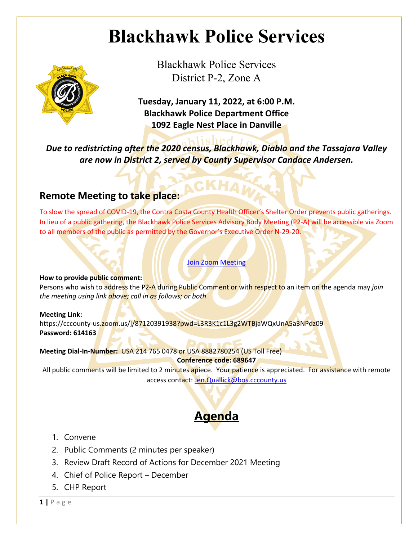## **Blackhawk Police Services**



Blackhawk Police Services District P-2, Zone A

**Tuesday, January 11, 2022, at 6:00 P.M. Blackhawk Police Department Office 1092 Eagle Nest Place in Danville**

*Due to redistricting after the 2020 census, Blackhawk, Diablo and the Tassajara Valley are now in District 2, served by County Supervisor Candace Andersen.*

### **Remote Meeting to take place:**

To slow the spread of COVID-19, the Contra Costa County Health Officer's Shelter Order prevents public gatherings. In lieu of a public gathering, the Blackhawk Police Services Advisory Body Meeting (P2-A) will be accessible via Zoom to all members of the public as permitted by the Governor's Executive Order N-29-20.

#### Join Zoom Meeting

#### **How to provide public comment:**

Persons who wish to address the P2-A during Public Comment or with respect to an item on the agenda may *join the meeting using link above; call in as follows; or both*

#### **Meeting Link:**

https://cccounty-us.zoom.us/j/87120391938?pwd=L3R3K1c1L3g2WTBjaWQxUnA5a3NPdz09 **Password: 614163**

**Meeting Dial-In-Number:** USA 214 765 0478 or USA 8882780254 (US Toll Free) **Conference code: 689647**

All public comments will be limited to 2 minutes apiece. Your patience is appreciated. For assistance with remote access contact: Jen.Quallick@bos.cccounty.us

### **Agenda**

- 1. Convene
- 2. Public Comments (2 minutes per speaker)
- 3. Review Draft Record of Actions for December 2021 Meeting
- 4. Chief of Police Report December
- 5. CHP Report